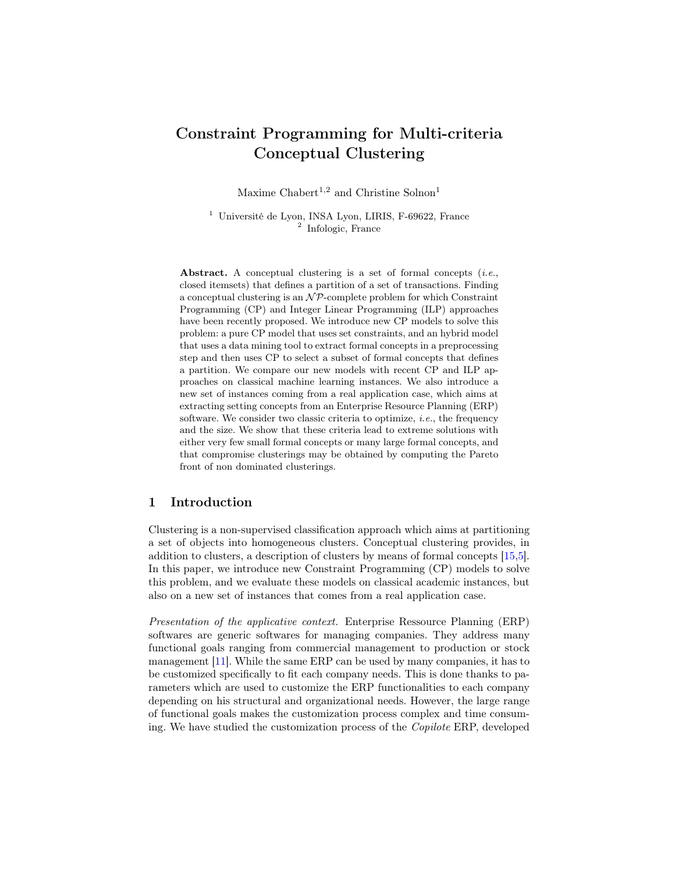# Constraint Programming for Multi-criteria Conceptual Clustering

 $\mathbf{Maxime~Chabert}^{1,2}$  and  $\mathbf{Christine~Solnon^1}$ 

<sup>1</sup> Université de Lyon, INSA Lyon, LIRIS, F-69622, France 2 Infologic, France

Abstract. A conceptual clustering is a set of formal concepts  $(i.e.,$ closed itemsets) that defines a partition of a set of transactions. Finding a conceptual clustering is an  $\mathcal{NP}$ -complete problem for which Constraint Programming (CP) and Integer Linear Programming (ILP) approaches have been recently proposed. We introduce new CP models to solve this problem: a pure CP model that uses set constraints, and an hybrid model that uses a data mining tool to extract formal concepts in a preprocessing step and then uses CP to select a subset of formal concepts that defines a partition. We compare our new models with recent CP and ILP approaches on classical machine learning instances. We also introduce a new set of instances coming from a real application case, which aims at extracting setting concepts from an Enterprise Resource Planning (ERP) software. We consider two classic criteria to optimize, *i.e.*, the frequency and the size. We show that these criteria lead to extreme solutions with either very few small formal concepts or many large formal concepts, and that compromise clusterings may be obtained by computing the Pareto front of non dominated clusterings.

## 1 Introduction

Clustering is a non-supervised classification approach which aims at partitioning a set of objects into homogeneous clusters. Conceptual clustering provides, in addition to clusters, a description of clusters by means of formal concepts [\[15,](#page-15-0)[5\]](#page-15-1). In this paper, we introduce new Constraint Programming (CP) models to solve this problem, and we evaluate these models on classical academic instances, but also on a new set of instances that comes from a real application case.

Presentation of the applicative context. Enterprise Ressource Planning (ERP) softwares are generic softwares for managing companies. They address many functional goals ranging from commercial management to production or stock management [\[11\]](#page-15-2). While the same ERP can be used by many companies, it has to be customized specifically to fit each company needs. This is done thanks to parameters which are used to customize the ERP functionalities to each company depending on his structural and organizational needs. However, the large range of functional goals makes the customization process complex and time consuming. We have studied the customization process of the Copilote ERP, developed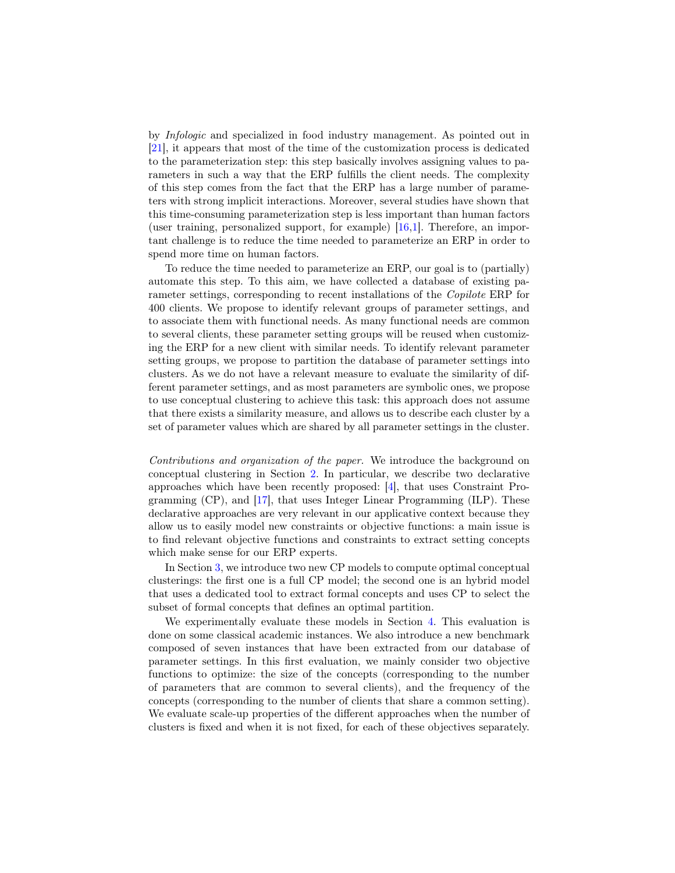by Infologic and specialized in food industry management. As pointed out in [\[21\]](#page-16-0), it appears that most of the time of the customization process is dedicated to the parameterization step: this step basically involves assigning values to parameters in such a way that the ERP fulfills the client needs. The complexity of this step comes from the fact that the ERP has a large number of parameters with strong implicit interactions. Moreover, several studies have shown that this time-consuming parameterization step is less important than human factors (user training, personalized support, for example) [\[16,](#page-15-3)[1\]](#page-15-4). Therefore, an important challenge is to reduce the time needed to parameterize an ERP in order to spend more time on human factors.

To reduce the time needed to parameterize an ERP, our goal is to (partially) automate this step. To this aim, we have collected a database of existing parameter settings, corresponding to recent installations of the Copilote ERP for 400 clients. We propose to identify relevant groups of parameter settings, and to associate them with functional needs. As many functional needs are common to several clients, these parameter setting groups will be reused when customizing the ERP for a new client with similar needs. To identify relevant parameter setting groups, we propose to partition the database of parameter settings into clusters. As we do not have a relevant measure to evaluate the similarity of different parameter settings, and as most parameters are symbolic ones, we propose to use conceptual clustering to achieve this task: this approach does not assume that there exists a similarity measure, and allows us to describe each cluster by a set of parameter values which are shared by all parameter settings in the cluster.

Contributions and organization of the paper. We introduce the background on conceptual clustering in Section [2.](#page-2-0) In particular, we describe two declarative approaches which have been recently proposed: [\[4\]](#page-15-5), that uses Constraint Programming (CP), and [\[17\]](#page-15-6), that uses Integer Linear Programming (ILP). These declarative approaches are very relevant in our applicative context because they allow us to easily model new constraints or objective functions: a main issue is to find relevant objective functions and constraints to extract setting concepts which make sense for our ERP experts.

In Section [3,](#page-5-0) we introduce two new CP models to compute optimal conceptual clusterings: the first one is a full CP model; the second one is an hybrid model that uses a dedicated tool to extract formal concepts and uses CP to select the subset of formal concepts that defines an optimal partition.

We experimentally evaluate these models in Section [4.](#page-8-0) This evaluation is done on some classical academic instances. We also introduce a new benchmark composed of seven instances that have been extracted from our database of parameter settings. In this first evaluation, we mainly consider two objective functions to optimize: the size of the concepts (corresponding to the number of parameters that are common to several clients), and the frequency of the concepts (corresponding to the number of clients that share a common setting). We evaluate scale-up properties of the different approaches when the number of clusters is fixed and when it is not fixed, for each of these objectives separately.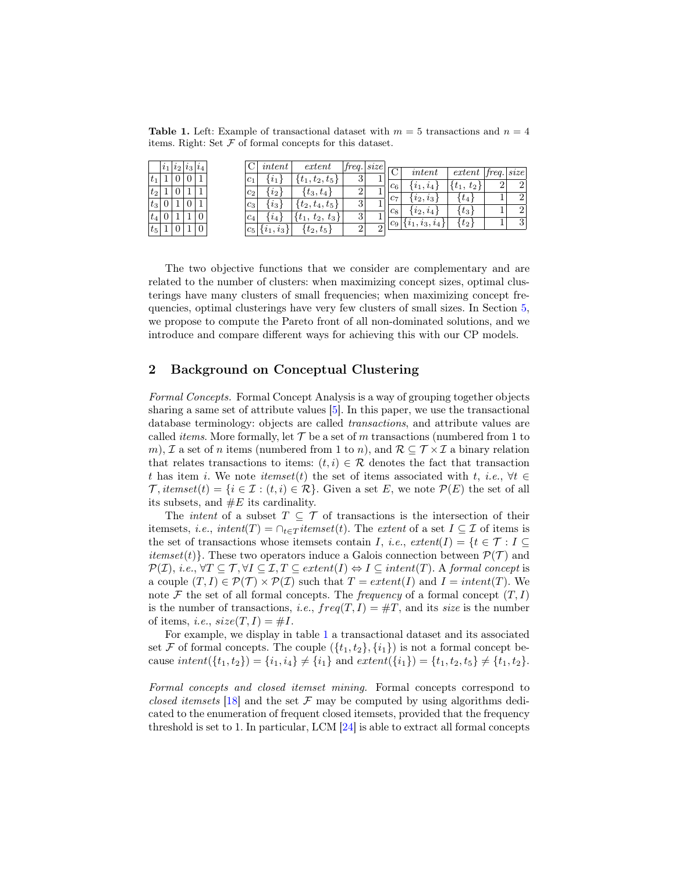<span id="page-2-1"></span>**Table 1.** Left: Example of transactional dataset with  $m = 5$  transactions and  $n = 4$ items. Right: Set  $\mathcal F$  of formal concepts for this dataset.

|         |  | $ i_1 i_2 i_3 i_4 $ |  | С     | $\it intent$                  | extent              | req. size |          | C              | intent              |                         |                |
|---------|--|---------------------|--|-------|-------------------------------|---------------------|-----------|----------|----------------|---------------------|-------------------------|----------------|
| $t_{1}$ |  |                     |  | $c_1$ | $\overline{\phantom{a}i_1}$ . | $\{t_1,t_2,t_5\}$   | 3         |          |                |                     | $extent$ [freq.   size] |                |
| $ t_2 $ |  |                     |  | $c_2$ | $(i_2)$                       | $t_3, t_4$          |           |          | $c_6$          | $\{i_1, i_4\}$      | $\{t_1,$<br>$t_2$       | 21             |
|         |  |                     |  |       |                               |                     | 3         |          | c <sub>7</sub> | $\{i_2, i_3\}$      | $\{t_4\}$               | $\sqrt{2}$     |
| $ t_3 $ |  |                     |  | $c_3$ | $\mathfrak{t}_{i_3}$          | $\{t_2,t_4,t_5\}$   |           |          | $c_8$          | $\{i_2, i_4\}$      | $\{t_3\}$               | $\overline{2}$ |
| $t_4$   |  |                     |  | $c_4$ | $i_4$                         | $\{t_1, t_2, t_3\}$ | 3         |          |                | $\{i_1, i_3, i_4\}$ | $\{t_2\}$               | 3              |
| $ t_5 $ |  |                     |  |       | $c_5$ { $i_1, i_3$ }          | $\{t_2, t_5\}$      |           | $\Omega$ | $c_9$          |                     |                         |                |

The two objective functions that we consider are complementary and are related to the number of clusters: when maximizing concept sizes, optimal clusterings have many clusters of small frequencies; when maximizing concept frequencies, optimal clusterings have very few clusters of small sizes. In Section [5,](#page-11-0) we propose to compute the Pareto front of all non-dominated solutions, and we introduce and compare different ways for achieving this with our CP models.

## <span id="page-2-0"></span>2 Background on Conceptual Clustering

Formal Concepts. Formal Concept Analysis is a way of grouping together objects sharing a same set of attribute values [\[5\]](#page-15-1). In this paper, we use the transactional database terminology: objects are called transactions, and attribute values are called *items*. More formally, let  $\mathcal T$  be a set of m transactions (numbered from 1 to m), I a set of n items (numbered from 1 to n), and  $\mathcal{R} \subseteq \mathcal{T} \times \mathcal{I}$  a binary relation that relates transactions to items:  $(t, i) \in \mathcal{R}$  denotes the fact that transaction t has item i. We note itemset(t) the set of items associated with t, i.e.,  $\forall t \in$  $\mathcal{T}$ , itemset(t) = { $i \in \mathcal{I} : (t, i) \in \mathcal{R}$ }. Given a set E, we note  $\mathcal{P}(E)$  the set of all its subsets, and  $#E$  its cardinality.

The *intent* of a subset  $T \subseteq \mathcal{T}$  of transactions is the intersection of their itemsets, *i.e.*,  $\text{intent}(T) = \bigcap_{t \in T} \text{itemset}(t)$ . The extent of a set  $I \subseteq \mathcal{I}$  of items is the set of transactions whose itemsets contain I, i.e.,  $extent(I) = \{t \in \mathcal{T} : I \subseteq$ *itemset*(*t*). These two operators induce a Galois connection between  $P(\mathcal{T})$  and  $\mathcal{P}(\mathcal{I}),$  i.e.,  $\forall T \subseteq \mathcal{T}, \forall I \subseteq \mathcal{I}, T \subseteq extent(I) \Leftrightarrow I \subseteq intent(T)$ . A formal concept is a couple  $(T, I) \in \mathcal{P}(\mathcal{T}) \times \mathcal{P}(\mathcal{I})$  such that  $T = extent(I)$  and  $I = intent(T)$ . We note  $\mathcal F$  the set of all formal concepts. The *frequency* of a formal concept  $(T, I)$ is the number of transactions, *i.e.*,  $freq(T, I) = #T$ , and its *size* is the number of items, *i.e.*,  $size(T, I) = #I$ .

For example, we display in table [1](#page-2-1) a transactional dataset and its associated set F of formal concepts. The couple  $({t_1, t_2}, {i_1})$  is not a formal concept because  $\text{intent}(\{t_1, t_2\}) = \{i_1, i_4\} \neq \{i_1\}$  and  $\text{extent}(\{i_1\}) = \{t_1, t_2, t_5\} \neq \{t_1, t_2\}.$ 

Formal concepts and closed itemset mining. Formal concepts correspond to closed itemsets [\[18\]](#page-16-1) and the set  $\mathcal F$  may be computed by using algorithms dedicated to the enumeration of frequent closed itemsets, provided that the frequency threshold is set to 1. In particular, LCM [\[24\]](#page-16-2) is able to extract all formal concepts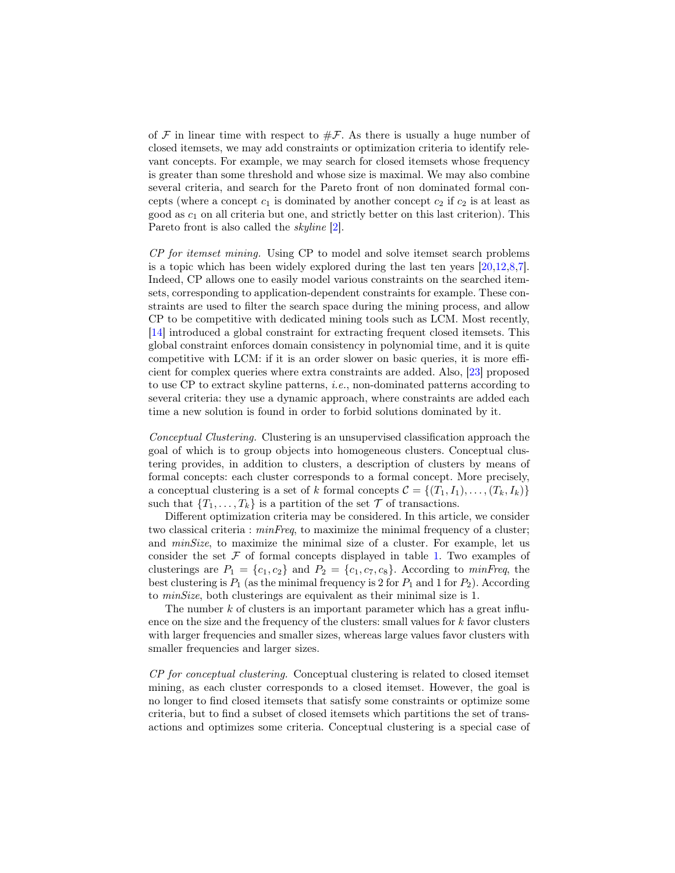of F in linear time with respect to  $\#F$ . As there is usually a huge number of closed itemsets, we may add constraints or optimization criteria to identify relevant concepts. For example, we may search for closed itemsets whose frequency is greater than some threshold and whose size is maximal. We may also combine several criteria, and search for the Pareto front of non dominated formal concepts (where a concept  $c_1$  is dominated by another concept  $c_2$  if  $c_2$  is at least as good as  $c_1$  on all criteria but one, and strictly better on this last criterion). This Pareto front is also called the skyline [\[2\]](#page-15-7).

CP for itemset mining. Using CP to model and solve itemset search problems is a topic which has been widely explored during the last ten years [\[20,](#page-16-3)[12,](#page-15-8)[8,](#page-15-9)[7\]](#page-15-10). Indeed, CP allows one to easily model various constraints on the searched itemsets, corresponding to application-dependent constraints for example. These constraints are used to filter the search space during the mining process, and allow CP to be competitive with dedicated mining tools such as LCM. Most recently, [\[14\]](#page-15-11) introduced a global constraint for extracting frequent closed itemsets. This global constraint enforces domain consistency in polynomial time, and it is quite competitive with LCM: if it is an order slower on basic queries, it is more efficient for complex queries where extra constraints are added. Also, [\[23\]](#page-16-4) proposed to use CP to extract skyline patterns, i.e., non-dominated patterns according to several criteria: they use a dynamic approach, where constraints are added each time a new solution is found in order to forbid solutions dominated by it.

Conceptual Clustering. Clustering is an unsupervised classification approach the goal of which is to group objects into homogeneous clusters. Conceptual clustering provides, in addition to clusters, a description of clusters by means of formal concepts: each cluster corresponds to a formal concept. More precisely, a conceptual clustering is a set of k formal concepts  $\mathcal{C} = \{(T_1, I_1), \ldots, (T_k, I_k)\}\$ such that  $\{T_1, \ldots, T_k\}$  is a partition of the set  $\mathcal T$  of transactions.

Different optimization criteria may be considered. In this article, we consider two classical criteria : minFreq, to maximize the minimal frequency of a cluster; and  $minSize$ , to maximize the minimal size of a cluster. For example, let us consider the set  $\mathcal F$  of formal concepts displayed in table [1.](#page-2-1) Two examples of clusterings are  $P_1 = \{c_1, c_2\}$  and  $P_2 = \{c_1, c_7, c_8\}$ . According to minFreq, the best clustering is  $P_1$  (as the minimal frequency is 2 for  $P_1$  and 1 for  $P_2$ ). According to minSize, both clusterings are equivalent as their minimal size is 1.

The number  $k$  of clusters is an important parameter which has a great influence on the size and the frequency of the clusters: small values for k favor clusters with larger frequencies and smaller sizes, whereas large values favor clusters with smaller frequencies and larger sizes.

CP for conceptual clustering. Conceptual clustering is related to closed itemset mining, as each cluster corresponds to a closed itemset. However, the goal is no longer to find closed itemsets that satisfy some constraints or optimize some criteria, but to find a subset of closed itemsets which partitions the set of transactions and optimizes some criteria. Conceptual clustering is a special case of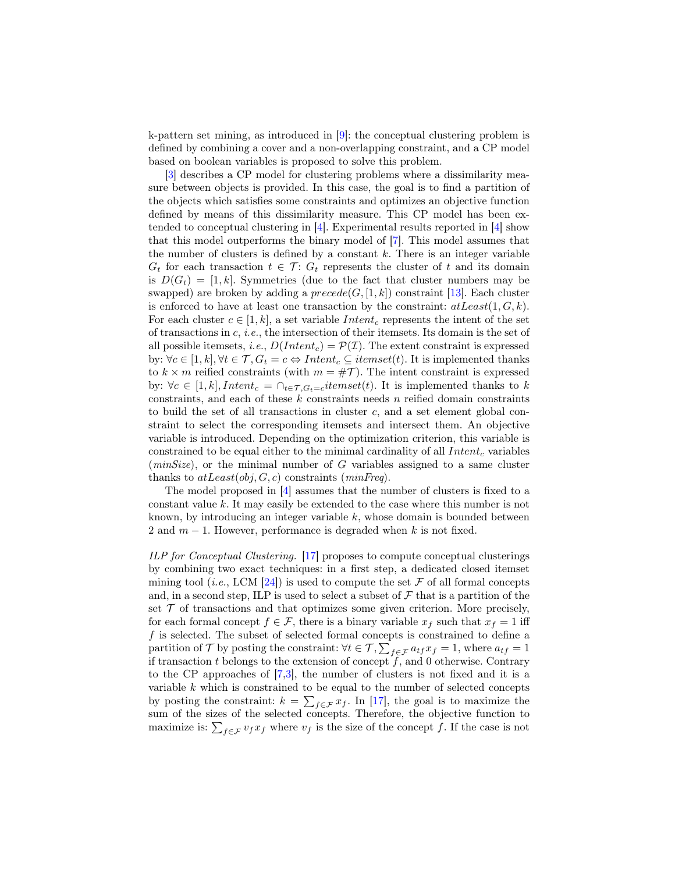k-pattern set mining, as introduced in [\[9\]](#page-15-12): the conceptual clustering problem is defined by combining a cover and a non-overlapping constraint, and a CP model based on boolean variables is proposed to solve this problem.

[\[3\]](#page-15-13) describes a CP model for clustering problems where a dissimilarity measure between objects is provided. In this case, the goal is to find a partition of the objects which satisfies some constraints and optimizes an objective function defined by means of this dissimilarity measure. This CP model has been extended to conceptual clustering in [\[4\]](#page-15-5). Experimental results reported in [\[4\]](#page-15-5) show that this model outperforms the binary model of [\[7\]](#page-15-10). This model assumes that the number of clusters is defined by a constant  $k$ . There is an integer variable  $G_t$  for each transaction  $t \in \mathcal{T}$ :  $G_t$  represents the cluster of t and its domain is  $D(G_t) = [1, k]$ . Symmetries (due to the fact that cluster numbers may be swapped) are broken by adding a  $precede(G, [1, k])$  constraint [\[13\]](#page-15-14). Each cluster is enforced to have at least one transaction by the constraint:  $atLeast(1, G, k)$ . For each cluster  $c \in [1, k]$ , a set variable *Intent<sub>c</sub>* represents the intent of the set of transactions in  $c, i.e.,$  the intersection of their itemsets. Its domain is the set of all possible itemsets, i.e.,  $D(Intent_c) = \mathcal{P}(\mathcal{I})$ . The extent constraint is expressed by:  $\forall c \in [1, k], \forall t \in \mathcal{T}, G_t = c \Leftrightarrow Intent_c \subseteq itemset(t)$ . It is implemented thanks to  $k \times m$  reified constraints (with  $m = \# \mathcal{T}$ ). The intent constraint is expressed by:  $\forall c \in [1, k], Intent_c = \bigcap_{t \in \mathcal{T}, G_t = c} itemset(t)$ . It is implemented thanks to k constraints, and each of these  $k$  constraints needs  $n$  reified domain constraints to build the set of all transactions in cluster  $c$ , and a set element global constraint to select the corresponding itemsets and intersect them. An objective variable is introduced. Depending on the optimization criterion, this variable is constrained to be equal either to the minimal cardinality of all  $Internet<sub>c</sub>$  variables  $(minSize)$ , or the minimal number of G variables assigned to a same cluster thanks to  $atLeast(obj, G, c)$  constraints (minFreq).

The model proposed in [\[4\]](#page-15-5) assumes that the number of clusters is fixed to a constant value k. It may easily be extended to the case where this number is not known, by introducing an integer variable  $k$ , whose domain is bounded between 2 and  $m-1$ . However, performance is degraded when k is not fixed.

ILP for Conceptual Clustering. [\[17\]](#page-15-6) proposes to compute conceptual clusterings by combining two exact techniques: in a first step, a dedicated closed itemset mining tool (*i.e.*, LCM [\[24\]](#page-16-2)) is used to compute the set  $\mathcal F$  of all formal concepts and, in a second step, ILP is used to select a subset of  $\mathcal F$  that is a partition of the set  $\mathcal T$  of transactions and that optimizes some given criterion. More precisely, for each formal concept  $f \in \mathcal{F}$ , there is a binary variable  $x_f$  such that  $x_f = 1$  iff  $f$  is selected. The subset of selected formal concepts is constrained to define a partition of  $\mathcal T$  by posting the constraint:  $\forall t \in \mathcal T, \sum_{f \in \mathcal F} a_{tf} x_f = 1$ , where  $a_{tf} = 1$ if transaction t belongs to the extension of concept  $\tilde{f}$ , and 0 otherwise. Contrary to the CP approaches of [\[7,](#page-15-10)[3\]](#page-15-13), the number of clusters is not fixed and it is a variable  $k$  which is constrained to be equal to the number of selected concepts by posting the constraint:  $k = \sum_{f \in \mathcal{F}} x_f$ . In [\[17\]](#page-15-6), the goal is to maximize the sum of the sizes of the selected concepts. Therefore, the objective function to maximize is:  $\sum_{f \in \mathcal{F}} v_f x_f$  where  $v_f$  is the size of the concept f. If the case is not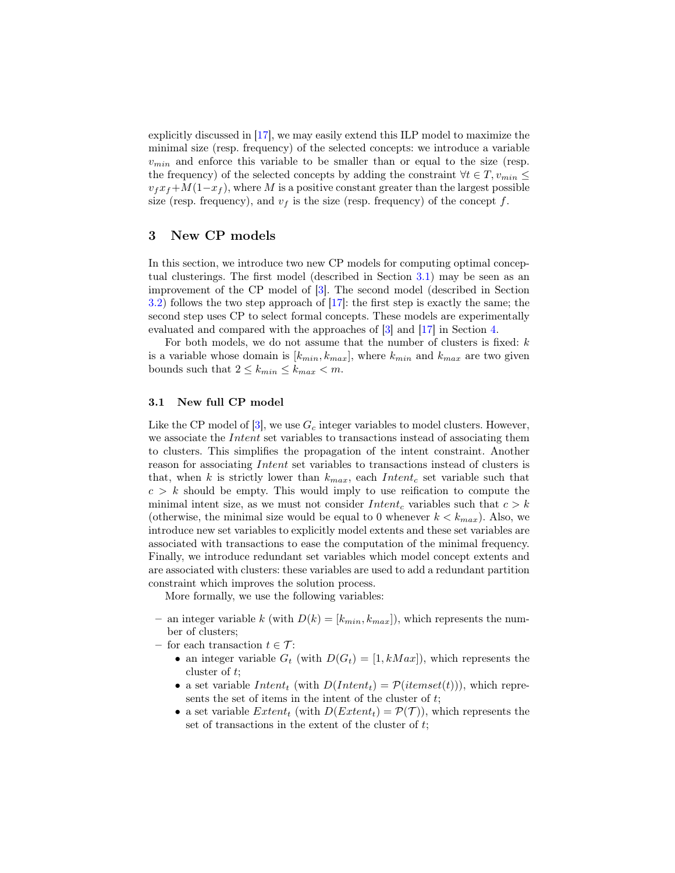explicitly discussed in [\[17\]](#page-15-6), we may easily extend this ILP model to maximize the minimal size (resp. frequency) of the selected concepts: we introduce a variable  $v_{min}$  and enforce this variable to be smaller than or equal to the size (resp. the frequency) of the selected concepts by adding the constraint  $\forall t \in T, v_{min} \leq$  $v_f x_f + M(1-x_f)$ , where M is a positive constant greater than the largest possible size (resp. frequency), and  $v_f$  is the size (resp. frequency) of the concept f.

# <span id="page-5-0"></span>3 New CP models

In this section, we introduce two new CP models for computing optimal conceptual clusterings. The first model (described in Section [3.1\)](#page-5-1) may be seen as an improvement of the CP model of [\[3\]](#page-15-13). The second model (described in Section [3.2\)](#page-6-0) follows the two step approach of [\[17\]](#page-15-6): the first step is exactly the same; the second step uses CP to select formal concepts. These models are experimentally evaluated and compared with the approaches of [\[3\]](#page-15-13) and [\[17\]](#page-15-6) in Section [4.](#page-8-0)

For both models, we do not assume that the number of clusters is fixed:  $k$ is a variable whose domain is  $[k_{min}, k_{max}]$ , where  $k_{min}$  and  $k_{max}$  are two given bounds such that  $2 \leq k_{min} \leq k_{max} < m$ .

#### <span id="page-5-1"></span>3.1 New full CP model

Like the CP model of  $[3]$ , we use  $G_c$  integer variables to model clusters. However, we associate the *Intent* set variables to transactions instead of associating them to clusters. This simplifies the propagation of the intent constraint. Another reason for associating *Intent* set variables to transactions instead of clusters is that, when k is strictly lower than  $k_{max}$ , each Intent<sub>c</sub> set variable such that  $c > k$  should be empty. This would imply to use reification to compute the minimal intent size, as we must not consider  $Internet_c$  variables such that  $c > k$ (otherwise, the minimal size would be equal to 0 whenever  $k < k_{max}$ ). Also, we introduce new set variables to explicitly model extents and these set variables are associated with transactions to ease the computation of the minimal frequency. Finally, we introduce redundant set variables which model concept extents and are associated with clusters: these variables are used to add a redundant partition constraint which improves the solution process.

More formally, we use the following variables:

- an integer variable k (with  $D(k) = [k_{min}, k_{max}]$ ), which represents the number of clusters;
- for each transaction  $t \in \mathcal{T}$ :
	- an integer variable  $G_t$  (with  $D(G_t) = [1, kMax]$ ), which represents the cluster of t;
	- a set variable Intent<sub>t</sub> (with  $D(Intent_t) = P(itemset(t))$ ), which represents the set of items in the intent of the cluster of t;
	- a set variable  $Extend_t$  (with  $D(Extend_t) = \mathcal{P}(\mathcal{T})$ ), which represents the set of transactions in the extent of the cluster of  $t$ ;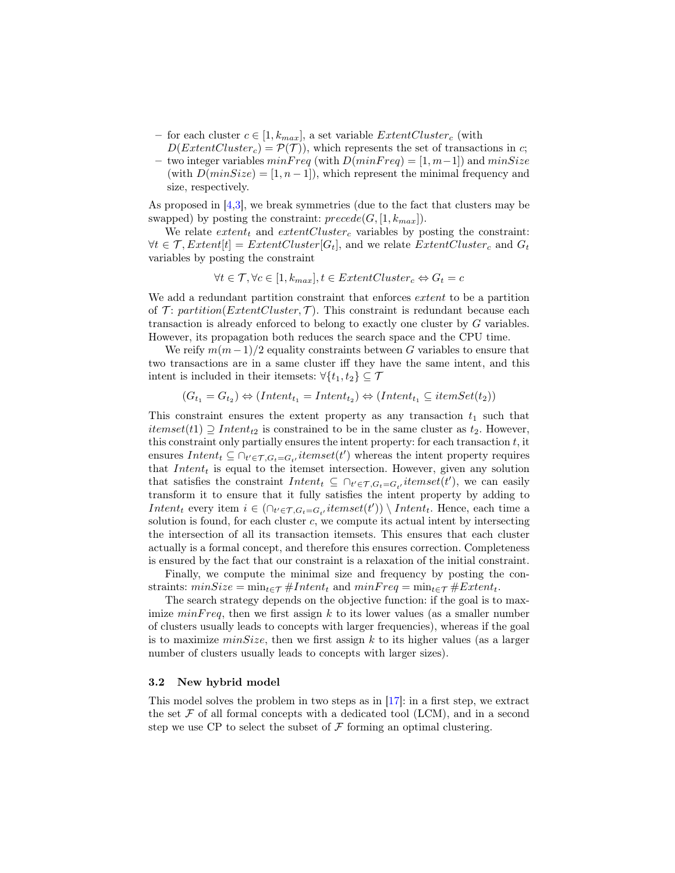- for each cluster  $c \in [1, k_{max}]$ , a set variable  $ExtendCluster_c$  (with
- $D(ExtentCluster_c) = \mathcal{P}(\mathcal{T})$ , which represents the set of transactions in c; – two integer variables  $minFreq$  (with  $D(minFreq) = [1, m-1])$  and  $minSize$ (with  $D(minSize) = [1, n - 1]$ ), which represent the minimal frequency and size, respectively.

As proposed in [\[4,](#page-15-5)[3\]](#page-15-13), we break symmetries (due to the fact that clusters may be swapped) by posting the constraint:  $precede(G, [1, k_{max}])$ .

We relate  $extent_t$  and  $extentCluster_c$  variables by posting the constraint:  $\forall t \in \mathcal{T}$ ,  $Extend[t] = ExtendCluster[G_t]$ , and we relate  $ExtendCluster_c$  and  $G_t$ variables by posting the constraint

$$
\forall t \in \mathcal{T}, \forall c \in [1, k_{max}], t \in ExtentCluster_c \Leftrightarrow G_t = c
$$

We add a redundant partition constraint that enforces *extent* to be a partition of  $\mathcal T$ : partition(ExtentCluster,  $\mathcal T$ ). This constraint is redundant because each transaction is already enforced to belong to exactly one cluster by G variables. However, its propagation both reduces the search space and the CPU time.

We reify  $m(m-1)/2$  equality constraints between G variables to ensure that two transactions are in a same cluster iff they have the same intent, and this intent is included in their itemsets:  $\forall \{t_1, t_2\} \subseteq \mathcal{T}$ 

$$
(G_{t_1} = G_{t_2}) \Leftrightarrow (Internet_{t_1} = Internet_{t_2}) \Leftrightarrow (Internet_{t_1} \subseteq itemSet(t_2))
$$

This constraint ensures the extent property as any transaction  $t_1$  such that  $itemset(t1) \supseteq Intent_{t2}$  is constrained to be in the same cluster as  $t_2$ . However, this constraint only partially ensures the intent property: for each transaction  $t$ , it ensures  $Internet_t \subseteq \bigcap_{t' \in \mathcal{T}, G_t = G_{t'}} itemset(t')$  whereas the intent property requires that  $Internet_t$  is equal to the itemset intersection. However, given any solution that satisfies the constraint  $Internet_t \subseteq \bigcap_{t' \in \mathcal{T}, G_t = G_{t'}} itemset(t')$ , we can easily transform it to ensure that it fully satisfies the intent property by adding to *Intent<sub>t</sub>* every item  $i \in (\bigcap_{t' \in \mathcal{T}, G_t = G_{t'}} itemset(t')) \setminus Intent_t$ . Hence, each time a solution is found, for each cluster  $c$ , we compute its actual intent by intersecting the intersection of all its transaction itemsets. This ensures that each cluster actually is a formal concept, and therefore this ensures correction. Completeness is ensured by the fact that our constraint is a relaxation of the initial constraint.

Finally, we compute the minimal size and frequency by posting the constraints:  $minSize = min_{t \in \mathcal{T}} \# Internet_t$  and  $minFreq = min_{t \in \mathcal{T}} \# Extent_t$ .

The search strategy depends on the objective function: if the goal is to maximize  $minFreq$ , then we first assign k to its lower values (as a smaller number of clusters usually leads to concepts with larger frequencies), whereas if the goal is to maximize  $minSize$ , then we first assign k to its higher values (as a larger number of clusters usually leads to concepts with larger sizes).

#### <span id="page-6-0"></span>3.2 New hybrid model

This model solves the problem in two steps as in [\[17\]](#page-15-6): in a first step, we extract the set  $\mathcal F$  of all formal concepts with a dedicated tool (LCM), and in a second step we use CP to select the subset of  $\mathcal F$  forming an optimal clustering.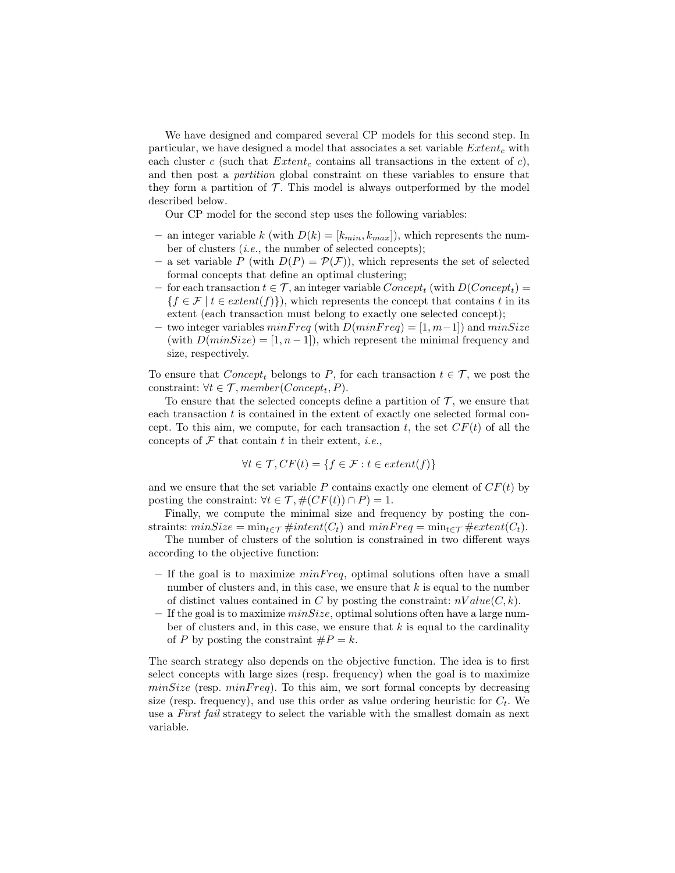We have designed and compared several CP models for this second step. In particular, we have designed a model that associates a set variable  $Extend_c$  with each cluster c (such that  $Extend_{c}$  contains all transactions in the extent of c), and then post a partition global constraint on these variables to ensure that they form a partition of  $\mathcal T$ . This model is always outperformed by the model described below.

Our CP model for the second step uses the following variables:

- an integer variable k (with  $D(k) = [k_{min}, k_{max}]$ ), which represents the number of clusters (i.e., the number of selected concepts);
- a set variable P (with  $D(P) = \mathcal{P}(\mathcal{F})$ ), which represents the set of selected formal concepts that define an optimal clustering;
- for each transaction  $t \in \mathcal{T}$ , an integer variable  $Concept_t$  (with  $D(Concept_t)$ )  ${f \in \mathcal{F} \mid t \in extent(f)}$ , which represents the concept that contains t in its extent (each transaction must belong to exactly one selected concept);
- two integer variables  $minFreq$  (with  $D(minFreq) = [1, m-1])$  and  $minSize$ (with  $D(minSize) = [1, n - 1]$ ), which represent the minimal frequency and size, respectively.

To ensure that Concept<sub>t</sub> belongs to P, for each transaction  $t \in \mathcal{T}$ , we post the constraint:  $\forall t \in \mathcal{T}$ , member(Concept<sub>t</sub>, P).

To ensure that the selected concepts define a partition of  $\mathcal{T}$ , we ensure that each transaction  $t$  is contained in the extent of exactly one selected formal concept. To this aim, we compute, for each transaction t, the set  $CF(t)$  of all the concepts of  $\mathcal F$  that contain  $t$  in their extent, *i.e.*,

$$
\forall t \in \mathcal{T}, CF(t) = \{ f \in \mathcal{F} : t \in extent(f) \}
$$

and we ensure that the set variable P contains exactly one element of  $CF(t)$  by posting the constraint:  $\forall t \in \mathcal{T}, \#(CF(t)) \cap P = 1.$ 

Finally, we compute the minimal size and frequency by posting the constraints:  $minSize = min_{t \in \mathcal{T}} \# intent(C_t)$  and  $minFreq = min_{t \in \mathcal{T}} \# extent(C_t)$ .

The number of clusters of the solution is constrained in two different ways according to the objective function:

- If the goal is to maximize  $minFreq$ , optimal solutions often have a small number of clusters and, in this case, we ensure that  $k$  is equal to the number of distinct values contained in C by posting the constraint:  $nValue(C, k)$ .
- If the goal is to maximize  $minSize$ , optimal solutions often have a large number of clusters and, in this case, we ensure that  $k$  is equal to the cardinality of P by posting the constraint  $\#P = k$ .

The search strategy also depends on the objective function. The idea is to first select concepts with large sizes (resp. frequency) when the goal is to maximize  $minSize$  (resp.  $minFreq$ ). To this aim, we sort formal concepts by decreasing size (resp. frequency), and use this order as value ordering heuristic for  $C_t$ . We use a First fail strategy to select the variable with the smallest domain as next variable.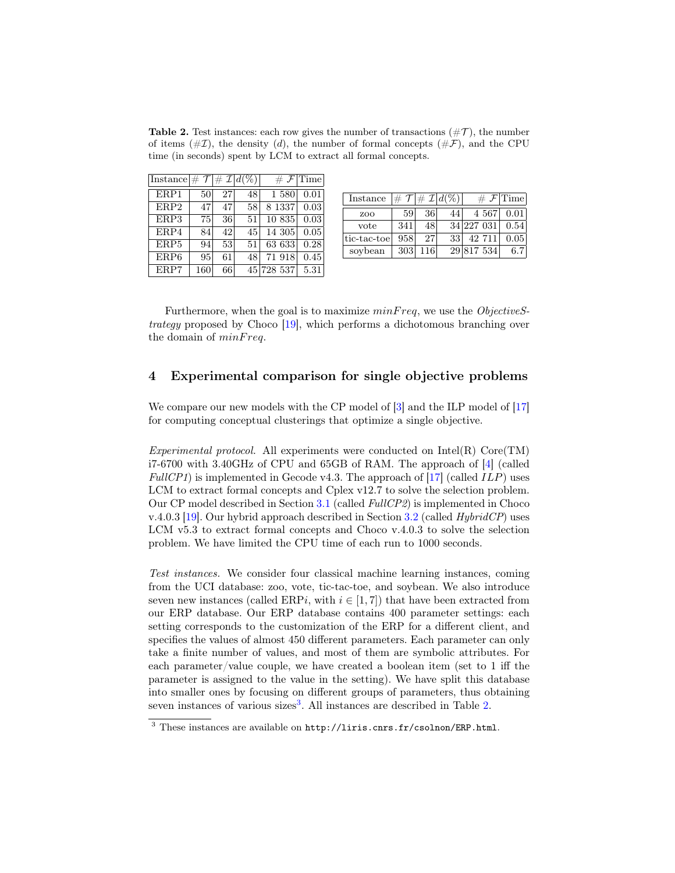<span id="page-8-2"></span>**Table 2.** Test instances: each row gives the number of transactions  $(\#\mathcal{T})$ , the number of items ( $\#\mathcal{I}$ ), the density (d), the number of formal concepts ( $\#\mathcal{F}$ ), and the CPU time (in seconds) spent by LCM to extract all formal concepts.

| Instance $\#\mathcal{T} \#\mathcal{I} d(\%)$ |     |    |    |            | # $\mathcal{F}$ Time |
|----------------------------------------------|-----|----|----|------------|----------------------|
| ERP1                                         | 50  | 27 | 48 | 1 580      | 0.01                 |
| ERP2                                         | 47  | 47 | 58 | 8 1 3 3 7  | 0.03                 |
| ERP3                                         | 75  | 36 | 51 | 10 835     | 0.03                 |
| ERP4                                         | 84  | 42 | 45 | 14 305     | 0.05                 |
| ERP5                                         | 94  | 53 | 51 | 63 633     | 0.28                 |
| ERP <sub>6</sub>                             | 95  | 61 | 48 | 71 918     | 0.45                 |
| ERP7                                         | 160 | 66 |    | 45 728 537 | 5.31                 |

| Instance $ \#\mathcal{T} \#\mathcal{I} d(\%) $ |     |     |     |            | # $\mathcal{F}$ Time |
|------------------------------------------------|-----|-----|-----|------------|----------------------|
| ZOO                                            | 59  | 36  | 44  | 4 5 6 7    | 0.01                 |
| vote                                           | 341 | 48  |     | 34 227 031 | 0.54                 |
| tic-tac-toe                                    | 958 | 27  | 331 | 42 711     | 0.05                 |
| soybean                                        | 303 | 116 |     | 29 817 534 |                      |

Furthermore, when the goal is to maximize  $minFreq$ , we use the *ObjectiveS*trategy proposed by Choco [\[19\]](#page-16-5), which performs a dichotomous branching over the domain of  $minFreq$ .

## <span id="page-8-0"></span>4 Experimental comparison for single objective problems

We compare our new models with the CP model of [\[3\]](#page-15-13) and the ILP model of [\[17\]](#page-15-6) for computing conceptual clusterings that optimize a single objective.

Experimental protocol. All experiments were conducted on  $Intel(R)$  Core $(TM)$  $i7-6700$  with 3.40GHz of CPU and 65GB of RAM. The approach of  $|4|$  (called  $FullCP1$ ) is implemented in Gecode v4.3. The approach of [\[17\]](#page-15-6) (called  $ILP$ ) uses LCM to extract formal concepts and Cplex v12.7 to solve the selection problem. Our CP model described in Section [3.1](#page-5-1) (called FullCP2) is implemented in Choco v.4.0.3 [\[19\]](#page-16-5). Our hybrid approach described in Section [3.2](#page-6-0) (called  $HybridCP$ ) uses LCM v5.3 to extract formal concepts and Choco v.4.0.3 to solve the selection problem. We have limited the CPU time of each run to 1000 seconds.

Test instances. We consider four classical machine learning instances, coming from the UCI database: zoo, vote, tic-tac-toe, and soybean. We also introduce seven new instances (called ERPi, with  $i \in [1, 7]$ ) that have been extracted from our ERP database. Our ERP database contains 400 parameter settings: each setting corresponds to the customization of the ERP for a different client, and specifies the values of almost 450 different parameters. Each parameter can only take a finite number of values, and most of them are symbolic attributes. For each parameter/value couple, we have created a boolean item (set to 1 iff the parameter is assigned to the value in the setting). We have split this database into smaller ones by focusing on different groups of parameters, thus obtaining seven instances of various sizes<sup>[3](#page-8-1)</sup>. All instances are described in Table [2.](#page-8-2)

<span id="page-8-1"></span> $^3$  These instances are available on  ${\tt http://liris.cnrs.fr/csolnon/ERP.html}.$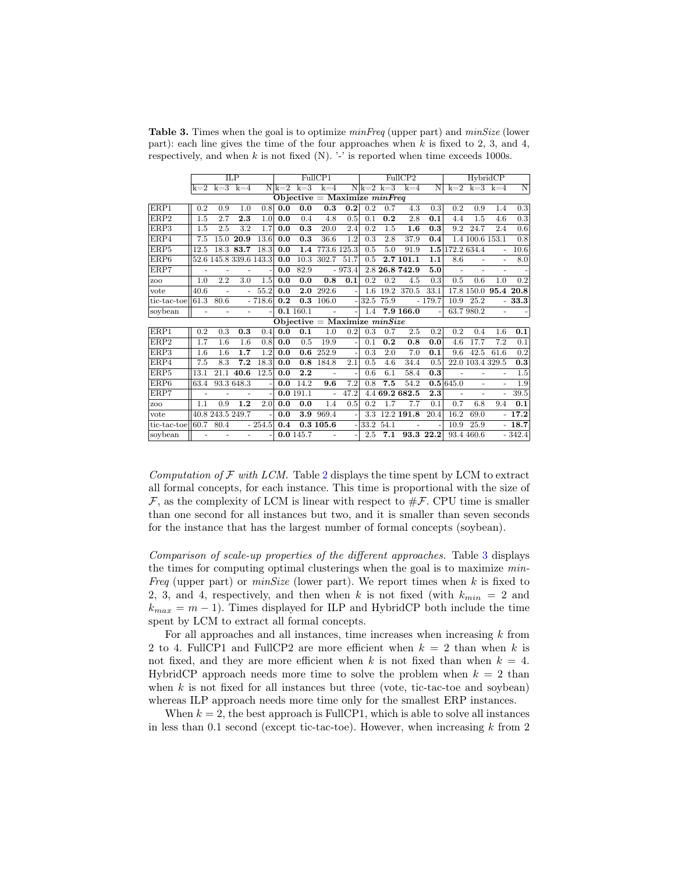<span id="page-9-0"></span>**Table 3.** Times when the goal is to optimize minFreq (upper part) and  $minSize$  (lower part): each line gives the time of the four approaches when  $k$  is fixed to 2, 3, and 4, respectively, and when  $k$  is not fixed (N). '-' is reported when time exceeds 1000s.

|                  |                |                  | <b>ILP</b>        |                        |        |           | FullCP1                        |                          |                  |              | FullCP2        |                |                          |                          |                |                         |
|------------------|----------------|------------------|-------------------|------------------------|--------|-----------|--------------------------------|--------------------------|------------------|--------------|----------------|----------------|--------------------------|--------------------------|----------------|-------------------------|
|                  |                |                  | $k=2$ $k=3$ $k=4$ |                        | $Nk=2$ | $k=3$     | $k=4$                          |                          |                  | $Nk=2$ $k=3$ | $k=4$          | $\overline{N}$ |                          | $k=2$ $k=3$ $k=4$        |                | $\overline{\mathrm{N}}$ |
|                  |                |                  |                   |                        |        |           | Objective = Maximize $minFreq$ |                          |                  |              |                |                |                          |                          |                |                         |
| ERP1             | 0.2            | 0.9              | 1.0               | 0.8                    | 0.0    | 0.0       | 0.3                            | $\overline{0.2}$         | $\overline{0.2}$ | 0.7          | 4.3            | 0.3            | 0.2                      | 0.9                      | 1.4            | $\overline{0.3}$        |
| ERP2             | 1.5            | 2.7              | 2.3               | 1.0                    | 0.0    | 0.4       | 4.8                            | 0.5                      | 0.1              | 0.2          | 2.8            | 0.1            | 4.4                      | 1.5                      | 4.6            | $\overline{0.3}$        |
| ERP3             | 1.5            | 2.5              | 3.2               | 1.7                    | 0.0    | 0.3       | 20.0                           | 2.4                      | 0.2              | 1.5          | 1.6            | 0.3            | 9.2                      | 24.7                     | 2.4            | 0.6                     |
| ERP4             | 7.5            | 15.0             | 20.9              | 13.6                   | 0.0    | 0.3       | 36.6                           | 1.2                      | 0.3              | 2.8          | 37.9           | 0.4            |                          | 1.4 100.6 153.1          |                | 0.8                     |
| ERP5             | 12.5           |                  | 18.3 83.7         | 18.3                   | 0.0    |           | 1.4 773.6 125.3                |                          | 0.5              | 5.0          | 91.9           |                |                          | 1.5 172.2 634.4          |                | 10.6                    |
| ERP <sub>6</sub> |                |                  |                   | 52.6 145.8 339.6 143.3 | 0.0    | 10.3      | 302.7                          | 51.7                     | 0.5              |              | 2.7 101.1      | 1.1            | 8.6                      |                          |                | 8.0                     |
| ERP7             | ۰              |                  |                   |                        | 0.0    | 82.9      |                                | $-973.4$                 |                  |              | 2.8 26.8 742.9 | 5.0            | $\overline{\phantom{a}}$ | $\overline{\phantom{a}}$ |                |                         |
| zoo              | 1.0            | 2.2              | 3.0               | 1.5                    | 0.0    | 0.0       | 0.8                            | 0.1                      | 0.2              | 0.2          | 4.5            | 0.3            | 0.5                      | 0.6                      | 1.0            | 0.2                     |
| vote             | 40.6           |                  |                   | 55.2                   | 0.0    | 2.0       | 292.6                          |                          | 1.6              |              | 19.2 370.5     | 33.1           |                          | 17.8 150.0 95.4 20.8     |                |                         |
| tic-tac-toe      | 61.3           | 80.6             |                   | $-718.6$               | 0.2    |           | 0.3 106.0                      |                          |                  | 32.5 75.9    |                | $-179.7$       | 10.9                     | 25.2                     |                | $-33.3$                 |
| soybean          | $\blacksquare$ |                  |                   |                        |        | 0.1 160.1 | $\overline{\phantom{m}}$       |                          | 1.4              |              | 7.9 166.0      |                |                          | 63.7980.2                | $\blacksquare$ |                         |
|                  |                |                  |                   |                        |        |           | Objective = Maximize $minSize$ |                          |                  |              |                |                |                          |                          |                |                         |
| ERP1             | 0.2            | 0.3              | 0.3               | 0.4                    | 0.0    | 0.1       | 1.0                            | 0.2                      | 0.3              | 0.7          | 2.5            | 0.2            | 0.2                      | 0.4                      | 1.6            | 0.1                     |
| ERP2             | 1.7            | 1.6              | 1.6               | 0.8                    | 0.0    | 0.5       | 19.9                           | $\overline{\phantom{a}}$ | 0.1              | 0.2          | 0.8            | 0.0            | 4.6                      | 17.7                     | 7.2            | 0.1                     |
| ERP3             | 1.6            | 1.6              | 1.7               | 1.2                    | 0.0    | $0.6\,$   | 252.9                          |                          | 0.3              | 2.0          | 7.0            | 0.1            | 9.6                      | 42.5                     | 61.6           | 0.2                     |
| ERP4             | 7.5            | 8.3              | 7.2               | 18.3                   | 0.0    | 0.8       | 184.8                          | 2.1                      | 0.5              | 4.6          | 34.4           | 0.5            |                          | 22.0 103.4 329.5         |                | 0.3                     |
| ERP5             | 13.1           | 21.1             | 40.6              | 12.5                   | 0.0    | $2.2\,$   | $\overline{a}$                 |                          | 0.6              | 6.1          | 58.4           | 0.3            |                          |                          |                | 1.5                     |
| ERP <sub>6</sub> | 63.4           |                  | 93.3 648.3        |                        | 0.0    | 14.2      | 9.6                            | 7.2                      | 0.8              | 7.5          | 54.2           |                | 0.5 645.0                | $\blacksquare$           |                | 1.9                     |
| ERP7             | $\overline{a}$ |                  |                   |                        |        | 0.0 191.1 | $\overline{\phantom{a}}$       | 47.2                     |                  |              | 4.4 69.2 682.5 | 2.3            | $\sim$                   | $\overline{\phantom{a}}$ | $\overline{a}$ | 39.5                    |
| zoo              | 1.1            | 0.9              | 1.2               | 2.0                    | 0.0    | 0.0       | 1.4                            | 0.5                      | 0.2              | 1.7          | 7.7            | 0.1            | 0.7                      | 6.8                      | 9.4            | 0.1                     |
| vote             |                | 40.8 243.5 249.7 |                   |                        | 0.0    | 3.9       | 969.4                          |                          | 3.3              |              | 12.2 191.8     | 20.4           | 16.2                     | 69.0                     |                | $-17.2$                 |
| tic-tac-toe      | 60.7           | 80.4             |                   | $-254.5$               | 0.4    |           | 0.3 105.6                      |                          | 33.2             | 54.1         |                |                | 10.9                     | 25.9                     |                | $-18.7$                 |
| soybean          | ä,             |                  |                   |                        |        | 0.0145.7  |                                |                          | 2.5              | 7.1          |                | 93.3 22.2      |                          | 93.4 460.6               |                | $-342.4$                |

Computation of  $\mathcal F$  with LCM. Table [2](#page-8-2) displays the time spent by LCM to extract all formal concepts, for each instance. This time is proportional with the size of  $\mathcal{F}$ , as the complexity of LCM is linear with respect to  $\#\mathcal{F}$ . CPU time is smaller than one second for all instances but two, and it is smaller than seven seconds for the instance that has the largest number of formal concepts (soybean).

Comparison of scale-up properties of the different approaches. Table [3](#page-9-0) displays the times for computing optimal clusterings when the goal is to maximize min-Freq (upper part) or  $minSize$  (lower part). We report times when k is fixed to 2, 3, and 4, respectively, and then when k is not fixed (with  $k_{min} = 2$  and  $k_{max} = m - 1$ ). Times displayed for ILP and HybridCP both include the time spent by LCM to extract all formal concepts.

For all approaches and all instances, time increases when increasing  $k$  from 2 to 4. FullCP1 and FullCP2 are more efficient when  $k = 2$  than when k is not fixed, and they are more efficient when k is not fixed than when  $k = 4$ . HybridCP approach needs more time to solve the problem when  $k = 2$  than when  $k$  is not fixed for all instances but three (vote, tic-tac-toe and soybean) whereas ILP approach needs more time only for the smallest ERP instances.

When  $k = 2$ , the best approach is FullCP1, which is able to solve all instances in less than 0.1 second (except tic-tac-toe). However, when increasing  $k$  from 2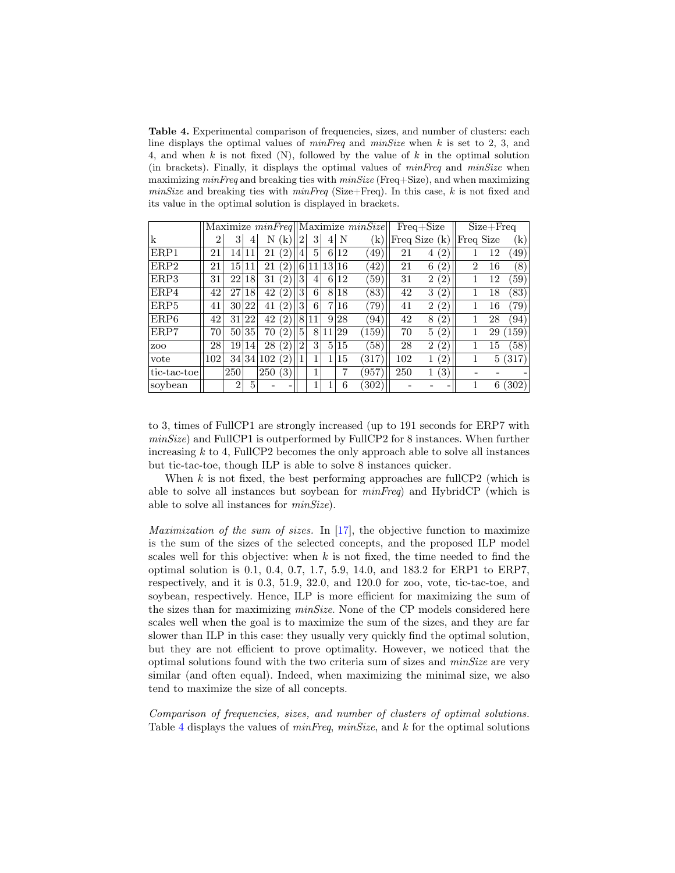<span id="page-10-0"></span>Table 4. Experimental comparison of frequencies, sizes, and number of clusters: each line displays the optimal values of  $minFreq$  and  $minSize$  when k is set to 2, 3, and 4, and when  $k$  is not fixed (N), followed by the value of  $k$  in the optimal solution (in brackets). Finally, it displays the optimal values of minFreq and minSize when maximizing  $minFreq$  and breaking ties with  $minSize$  (Freq+Size), and when maximizing minSize and breaking ties with  $minFreq$  (Size+Freq). In this case, k is not fixed and its value in the optimal solution is displayed in brackets.

|                  | Maximize <i>minFreq</i> Maximize <i>minSize</i> |     |    |     |                      |                |             |    |      |                    |     | $Freq + Size$          | $Size + Freq$  |    |                |
|------------------|-------------------------------------------------|-----|----|-----|----------------------|----------------|-------------|----|------|--------------------|-----|------------------------|----------------|----|----------------|
| k                | 2                                               | 3   |    | N   | (k)                  | 2              | 3           |    | N    | $(\mathrm{k})$     |     | Freq Size (k)          | Freq Size      |    | $(\mathrm{k})$ |
| ERP1             | 21                                              | 14  | 11 | 21  | $^{'}2$              | 4              | $5^{\circ}$ |    | 6 12 | 49                 | 21  | $\left( 2\right)$<br>4 |                | 12 | (49)           |
| ERP <sub>2</sub> | 21                                              | 15  | 11 | 21  | $^{'}2$              | 6              | 11          | 13 | 16   | $^{'}42$           | 21  | (2)<br>6               | $\overline{2}$ | 16 | (8)            |
| ERP3             | 31                                              | 22  | 18 | 31  | $^{2}$               | 3              | 4           | 6  | 12   | $^{\prime}59)$     | 31  | (2)<br>$\overline{2}$  |                | 12 | (59)           |
| ERP4             | 42                                              | 27  | 18 | 42  | $^{2}$               | 3              | 6           | 8  | 18   | 83)                | 42  | 3<br>(2)               |                | 18 | (83)           |
| ERP5             | 41                                              | 30  | 22 | 41  | $^{\prime}2^{\cdot}$ | 3              | 6           |    | 16   | (79`               | 41  | (2)<br>$\overline{2}$  |                | 16 | (79)           |
| ERP <sub>6</sub> | 42                                              | 31  | 22 | 42  | $\mathbf{2}^{\cdot}$ | 8              | 11          | 9  | 28   | (94)               | 42  | (2)<br>8               | 1              | 28 | (94)           |
| ERP7             | 70                                              | 50  | 35 | 70  | $^{^{\prime}2}$      | 5              | 81          |    | 29   | $\left(159\right)$ | 70  | 5<br>(2)               |                | 29 | (159)          |
| ZOO              | 28                                              | 19  | 14 | 28  | $\left( 2\right)$    | $\overline{2}$ | 3           | 5  | 15   | (58)               | 28  | (2)<br>$\overline{2}$  |                | 15 | (58)           |
| vote             | 102                                             | 34  | 34 | 102 | ΄2΄                  |                |             |    | 15   | 317                | 102 | $\left( 2\right)$<br>1 | 1              |    | 5(317)         |
| tic-tac-toe      |                                                 | 250 |    | 250 | $\left( 3\right)$    |                |             |    |      | '957               | 250 | 3)<br>1                |                |    |                |
| soybean          |                                                 | 2   | 5  |     |                      |                |             |    | 6    | $302^{\circ}$      |     |                        |                |    | 6(302)         |

to 3, times of FullCP1 are strongly increased (up to 191 seconds for ERP7 with  $minSize$ ) and FullCP1 is outperformed by FullCP2 for 8 instances. When further increasing  $k$  to 4, FullCP2 becomes the only approach able to solve all instances but tic-tac-toe, though ILP is able to solve 8 instances quicker.

When  $k$  is not fixed, the best performing approaches are fullCP2 (which is able to solve all instances but soybean for minFreq) and HybridCP (which is able to solve all instances for minSize).

*Maximization of the sum of sizes.* In  $[17]$ , the objective function to maximize is the sum of the sizes of the selected concepts, and the proposed ILP model scales well for this objective: when  $k$  is not fixed, the time needed to find the optimal solution is 0.1, 0.4, 0.7, 1.7, 5.9, 14.0, and 183.2 for ERP1 to ERP7, respectively, and it is 0.3, 51.9, 32.0, and 120.0 for zoo, vote, tic-tac-toe, and soybean, respectively. Hence, ILP is more efficient for maximizing the sum of the sizes than for maximizing minSize. None of the CP models considered here scales well when the goal is to maximize the sum of the sizes, and they are far slower than ILP in this case: they usually very quickly find the optimal solution, but they are not efficient to prove optimality. However, we noticed that the optimal solutions found with the two criteria sum of sizes and  $minSize$  are very similar (and often equal). Indeed, when maximizing the minimal size, we also tend to maximize the size of all concepts.

Comparison of frequencies, sizes, and number of clusters of optimal solutions. Table [4](#page-10-0) displays the values of  $minFreq$ ,  $minSize$ , and  $k$  for the optimal solutions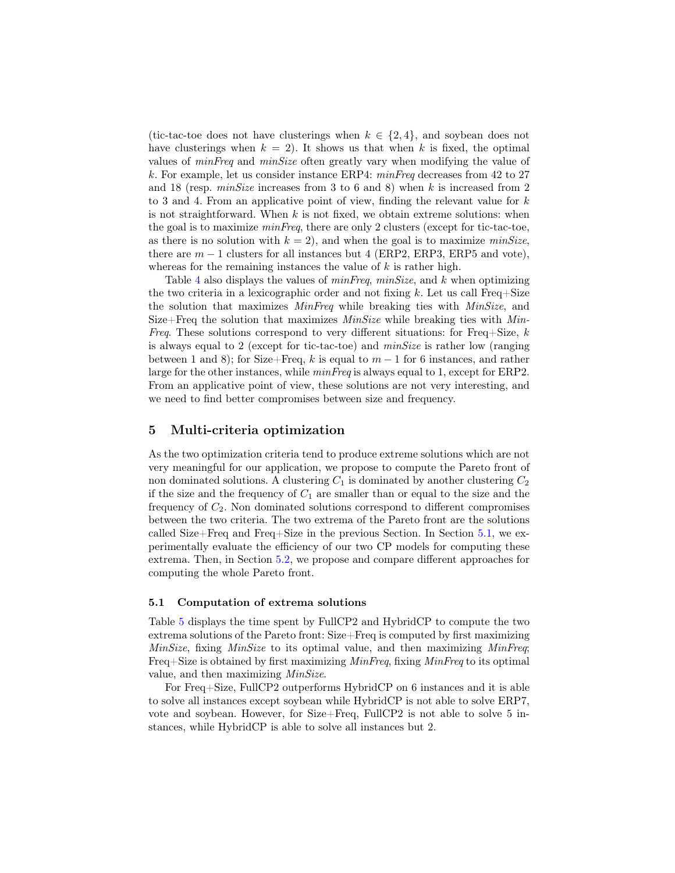(tic-tac-toe does not have clusterings when  $k \in \{2, 4\}$ , and soybean does not have clusterings when  $k = 2$ ). It shows us that when k is fixed, the optimal values of  $minFreq$  and  $minSize$  often greatly vary when modifying the value of k. For example, let us consider instance ERP4: minFreq decreases from 42 to 27 and 18 (resp.  $minSize$  increases from 3 to 6 and 8) when k is increased from 2 to 3 and 4. From an applicative point of view, finding the relevant value for  $k$ is not straightforward. When  $k$  is not fixed, we obtain extreme solutions: when the goal is to maximize minFreq, there are only 2 clusters (except for tic-tac-toe, as there is no solution with  $k = 2$ , and when the goal is to maximize minSize, there are  $m-1$  clusters for all instances but 4 (ERP2, ERP3, ERP5 and vote), whereas for the remaining instances the value of  $k$  is rather high.

Table [4](#page-10-0) also displays the values of  $minFreq$ ,  $minSize$ , and k when optimizing the two criteria in a lexicographic order and not fixing k. Let us call Freq+Size the solution that maximizes MinFreq while breaking ties with MinSize, and Size+Freq the solution that maximizes *MinSize* while breaking ties with  $Min$ -Freq. These solutions correspond to very different situations: for Freq+Size,  $k$ is always equal to 2 (except for tic-tac-toe) and  $minSize$  is rather low (ranging between 1 and 8); for Size+Freq, k is equal to  $m-1$  for 6 instances, and rather large for the other instances, while  $minFreq$  is always equal to 1, except for ERP2. From an applicative point of view, these solutions are not very interesting, and we need to find better compromises between size and frequency.

## <span id="page-11-0"></span>5 Multi-criteria optimization

As the two optimization criteria tend to produce extreme solutions which are not very meaningful for our application, we propose to compute the Pareto front of non dominated solutions. A clustering  $C_1$  is dominated by another clustering  $C_2$ if the size and the frequency of  $C_1$  are smaller than or equal to the size and the frequency of  $C_2$ . Non dominated solutions correspond to different compromises between the two criteria. The two extrema of the Pareto front are the solutions called Size+Freq and Freq+Size in the previous Section. In Section  $5.1$ , we experimentally evaluate the efficiency of our two CP models for computing these extrema. Then, in Section [5.2,](#page-12-0) we propose and compare different approaches for computing the whole Pareto front.

#### <span id="page-11-1"></span>5.1 Computation of extrema solutions

Table [5](#page-12-1) displays the time spent by FullCP2 and HybridCP to compute the two extrema solutions of the Pareto front: Size+Freq is computed by first maximizing MinSize, fixing MinSize to its optimal value, and then maximizing MinFreq; Freq+Size is obtained by first maximizing MinFreq, fixing MinFreq to its optimal value, and then maximizing MinSize.

For Freq+Size, FullCP2 outperforms HybridCP on 6 instances and it is able to solve all instances except soybean while HybridCP is not able to solve ERP7, vote and soybean. However, for Size+Freq, FullCP2 is not able to solve 5 instances, while HybridCP is able to solve all instances but 2.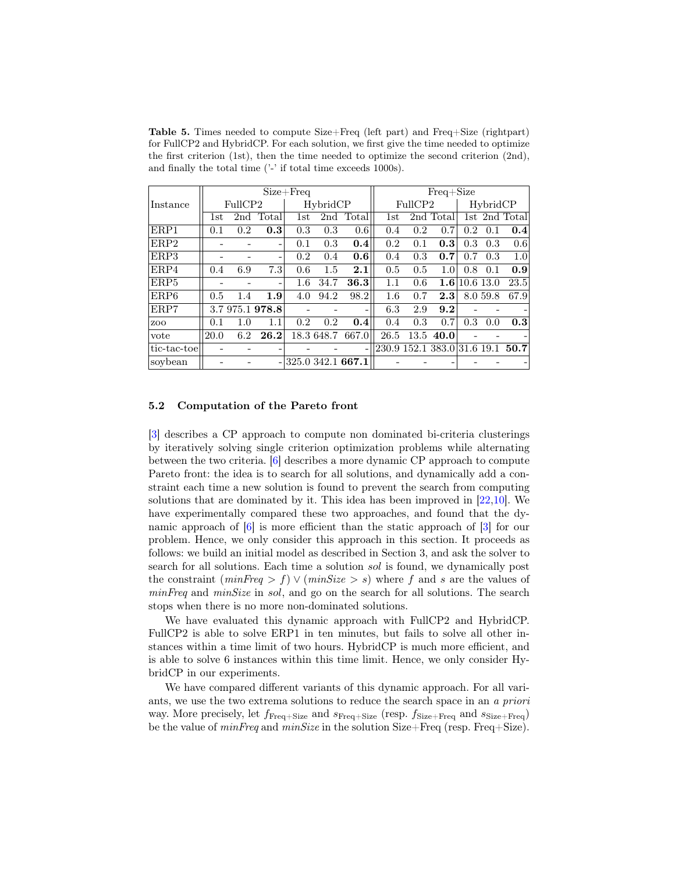<span id="page-12-1"></span>Table 5. Times needed to compute Size+Freq (left part) and Freq+Size (rightpart) for FullCP2 and HybridCP. For each solution, we first give the time needed to optimize the first criterion (1st), then the time needed to optimize the second criterion (2nd), and finally the total time ('-' if total time exceeds 1000s).

|             |                          |         |                 | $Size + Freq$ |            | Freq+Size         |      |         |                                  |           |          |               |  |  |
|-------------|--------------------------|---------|-----------------|---------------|------------|-------------------|------|---------|----------------------------------|-----------|----------|---------------|--|--|
| Instance    |                          | FullCP2 |                 |               | HybridCP   |                   |      | FullCP2 |                                  | HybridCP  |          |               |  |  |
|             | 1st                      | 2nd     | Total           | 1st           | 2nd        | Total             | 1st  |         | 2nd Total                        |           |          | 1st 2nd Total |  |  |
| ERP1        | 0.1                      | 0.2     | 0.3             | 0.3           | 0.3        | 0.6               | 0.4  | 0.2     | 0.7                              | 0.2       | 0.1      | 0.4           |  |  |
| ERP2        |                          |         |                 | 0.1           | 0.3        | 0.4 <sub>1</sub>  | 0.2  | 0.1     | 0.3                              | 0.3       | 0.3      | 0.6           |  |  |
| ERP3        | $\overline{\phantom{a}}$ |         |                 | 0.2           | 0.4        | 0.6               | 0.4  | 0.3     | 0.7                              | 0.7       | 0.3      | 1.0           |  |  |
| ERP4        | 0.4                      | 6.9     | 7.3             | 0.6           | 1.5        | 2.1               | 0.5  | 0.5     | 1.0                              | 0.8       | 0.1      | 0.9           |  |  |
| ERP5        |                          |         |                 | 1.6           | 34.7       | 36.3              | 1.1  | 0.6     | 1.6                              | 10.6 13.0 |          | 23.5          |  |  |
| ERP6        | 0.5                      | 1.4     | 1.9             | 4.0           | 94.2       | 98.2              | 1.6  | 0.7     | 2.3                              |           | 8.0 59.8 | 67.9          |  |  |
| ERP7        |                          |         | 3.7 975.1 978.8 |               |            |                   | 6.3  | 2.9     | 9.2                              |           |          |               |  |  |
| ZOO         | 0.1                      | 1.0     | 1.1             | 0.2           | 0.2        | 0.4               | 0.4  | 0.3     | 0.7                              | 0.3       | 0.0      | 0.3           |  |  |
| vote        | 20.0                     | 6.2     | 26.2            |               | 18.3 648.7 | 667.0             | 26.5 |         | 13.5 40.0                        |           |          |               |  |  |
| tic-tac-toe |                          |         |                 |               |            |                   |      |         | 230.9 152.1 383.0 31.6 19.1 50.7 |           |          |               |  |  |
| soybean     |                          |         |                 |               |            | 325.0 342.1 667.1 |      |         |                                  |           |          |               |  |  |

#### <span id="page-12-0"></span>5.2 Computation of the Pareto front

[\[3\]](#page-15-13) describes a CP approach to compute non dominated bi-criteria clusterings by iteratively solving single criterion optimization problems while alternating between the two criteria. [\[6\]](#page-15-15) describes a more dynamic CP approach to compute Pareto front: the idea is to search for all solutions, and dynamically add a constraint each time a new solution is found to prevent the search from computing solutions that are dominated by it. This idea has been improved in [\[22,](#page-16-6)[10\]](#page-15-16). We have experimentally compared these two approaches, and found that the dynamic approach of [\[6\]](#page-15-15) is more efficient than the static approach of [\[3\]](#page-15-13) for our problem. Hence, we only consider this approach in this section. It proceeds as follows: we build an initial model as described in Section 3, and ask the solver to search for all solutions. Each time a solution sol is found, we dynamically post the constraint  $(minFreq > f) \vee (minSize > s)$  where f and s are the values of minFreq and minSize in sol, and go on the search for all solutions. The search stops when there is no more non-dominated solutions.

We have evaluated this dynamic approach with FullCP2 and HybridCP. FullCP2 is able to solve ERP1 in ten minutes, but fails to solve all other instances within a time limit of two hours. HybridCP is much more efficient, and is able to solve 6 instances within this time limit. Hence, we only consider HybridCP in our experiments.

We have compared different variants of this dynamic approach. For all variants, we use the two extrema solutions to reduce the search space in an a priori way. More precisely, let  $f_{\text{Freq}+\text{Size}}$  and  $s_{\text{Freq}+\text{Size}}$  (resp.  $f_{\text{Size}+\text{Freq}}$  and  $s_{\text{Size}+\text{Freq}}$ ) be the value of  $minFreq$  and  $minSize$  in the solution Size+Freq (resp. Freq+Size).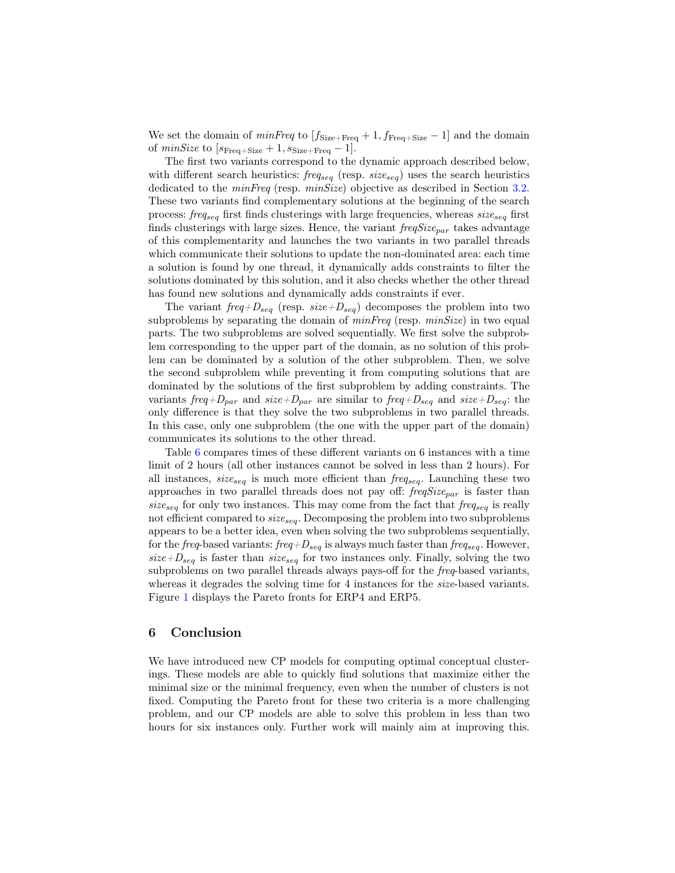We set the domain of  $minFreq$  to  $[f_{Size+Freq} + 1, f_{Freq+Size} - 1]$  and the domain of  $minSize$  to  $[s_{Freq+Size} + 1, s_{Size+Freq} - 1].$ 

The first two variants correspond to the dynamic approach described below, with different search heuristics:  $freq_{seq}$  (resp.  $size_{seq}$ ) uses the search heuristics dedicated to the *minFreq* (resp. *minSize*) objective as described in Section [3.2.](#page-6-0) These two variants find complementary solutions at the beginning of the search process:  $freq_{seq}$  first finds clusterings with large frequencies, whereas  $size_{seq}$  first finds clusterings with large sizes. Hence, the variant  $freqSize_{par}$  takes advantage of this complementarity and launches the two variants in two parallel threads which communicate their solutions to update the non-dominated area: each time a solution is found by one thread, it dynamically adds constraints to filter the solutions dominated by this solution, and it also checks whether the other thread has found new solutions and dynamically adds constraints if ever.

The variant  $freq+D_{seq}$  (resp.  $size+D_{seq}$ ) decomposes the problem into two subproblems by separating the domain of  $minFreq$  (resp.  $minSize$ ) in two equal parts. The two subproblems are solved sequentially. We first solve the subproblem corresponding to the upper part of the domain, as no solution of this problem can be dominated by a solution of the other subproblem. Then, we solve the second subproblem while preventing it from computing solutions that are dominated by the solutions of the first subproblem by adding constraints. The variants  $freq + D_{par}$  and  $size + D_{par}$  are similar to  $freq + D_{seq}$  and  $size + D_{seq}$ : the only difference is that they solve the two subproblems in two parallel threads. In this case, only one subproblem (the one with the upper part of the domain) communicates its solutions to the other thread.

Table [6](#page-14-0) compares times of these different variants on 6 instances with a time limit of 2 hours (all other instances cannot be solved in less than 2 hours). For all instances,  $size_{seq}$  is much more efficient than  $freq_{seq}$ . Launching these two approaches in two parallel threads does not pay off:  $freqSize_{par}$  is faster than size<sub>seq</sub> for only two instances. This may come from the fact that freq<sub>seq</sub> is really not efficient compared to  $size_{seq}$ . Decomposing the problem into two subproblems appears to be a better idea, even when solving the two subproblems sequentially, for the freq-based variants:  $freq + D_{seq}$  is always much faster than  $freq_{seq}$ . However,  $size+D_{seq}$  is faster than  $size_{seq}$  for two instances only. Finally, solving the two subproblems on two parallel threads always pays-off for the freq-based variants, whereas it degrades the solving time for 4 instances for the *size*-based variants. Figure [1](#page-14-1) displays the Pareto fronts for ERP4 and ERP5.

### 6 Conclusion

We have introduced new CP models for computing optimal conceptual clusterings. These models are able to quickly find solutions that maximize either the minimal size or the minimal frequency, even when the number of clusters is not fixed. Computing the Pareto front for these two criteria is a more challenging problem, and our CP models are able to solve this problem in less than two hours for six instances only. Further work will mainly aim at improving this.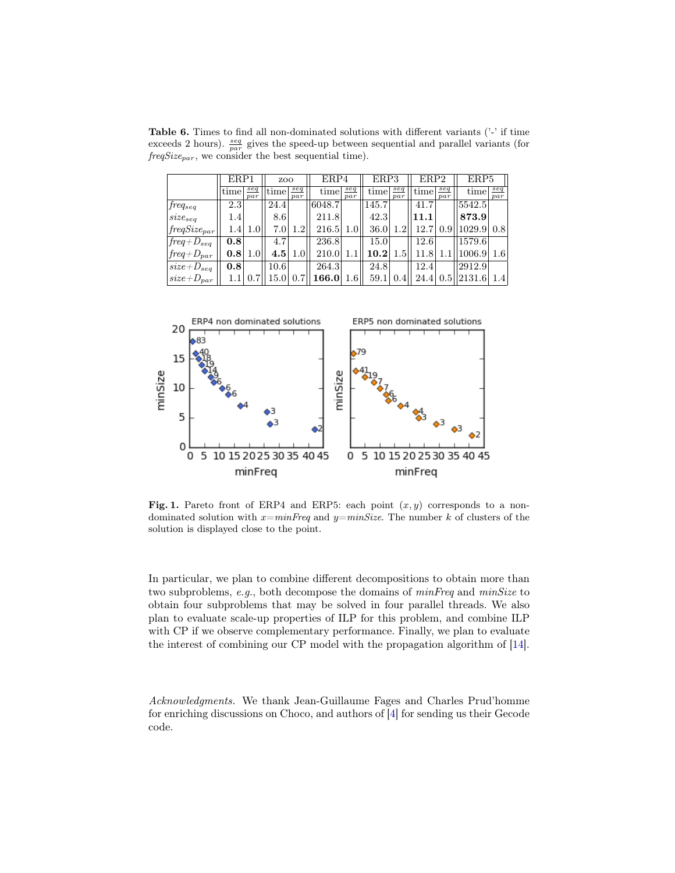<span id="page-14-0"></span>Table 6. Times to find all non-dominated solutions with different variants  $('-)$  if time exceeds 2 hours).  $\frac{seq}{par}$  gives the speed-up between sequential and parallel variants (for  $freqSize_{par}$ , we consider the best sequential time).

|                          | ERP1             |                     | ZOO  |                  | ERP4                   |          | ERP3  |                  | ERP <sub>2</sub> |                 | ERP5                 |                 |
|--------------------------|------------------|---------------------|------|------------------|------------------------|----------|-------|------------------|------------------|-----------------|----------------------|-----------------|
|                          | time             | seq<br>$_{\it par}$ | time | seq<br>$_{par}$  | time $\frac{seq}{n-1}$ | $_{par}$ | time  | seq<br>$_{par}$  | time             | seq<br>$_{par}$ | time                 | seq<br>$_{par}$ |
| $_{\parallel}freq_{seq}$ | 2.3 <sub>1</sub> |                     | 24.4 |                  | 6048.7                 |          | 145.7 |                  | 41.7             |                 | 5542.5               |                 |
| $size_{seq}$             | 1.41             |                     | 8.6  |                  | 211.8                  |          | 42.3  |                  | 11.1             |                 | 873.9                |                 |
| $ freqSize_{par} $       | 1.4 <sub>l</sub> | 1.0                 | 7.0  | 1.2 <sub>l</sub> | 216.5 1.0              |          | 36.0  | 1.2 <sub>l</sub> |                  |                 | 12.7 0.9  1029.9 0.8 |                 |
| $ freq + D_{seq}$        | 0.8              |                     | 4.7  |                  | 236.8                  |          | 15.0  |                  | 12.6             |                 | 1579.6               |                 |
| $ freq+D_{par} $         | 0.8              | 1.0                 |      | 4.5 1.0          | $210.0$   1.1          |          | 10.2  | 1.5              | 11.8             |                 | 1006.9 1.6           |                 |
| $size+D_{seq}$           | 0.8              |                     | 10.6 |                  | 264.3                  |          | 24.8  |                  | 12.4             |                 | 2912.9               |                 |
| $size+D_{par}$           |                  |                     | 15.0 | 0.7              | 166.0                  | -1.61    | 59.1  | 0.4              |                  |                 | 24.4 0.5 2131.6 1.4  |                 |



<span id="page-14-1"></span>Fig. 1. Pareto front of ERP4 and ERP5: each point  $(x, y)$  corresponds to a nondominated solution with  $x=minFreq$  and  $y=minSize$ . The number k of clusters of the solution is displayed close to the point.

In particular, we plan to combine different decompositions to obtain more than two subproblems, e.g., both decompose the domains of minFreq and minSize to obtain four subproblems that may be solved in four parallel threads. We also plan to evaluate scale-up properties of ILP for this problem, and combine ILP with CP if we observe complementary performance. Finally, we plan to evaluate the interest of combining our CP model with the propagation algorithm of [\[14\]](#page-15-11).

Acknowledgments. We thank Jean-Guillaume Fages and Charles Prud'homme for enriching discussions on Choco, and authors of [\[4\]](#page-15-5) for sending us their Gecode code.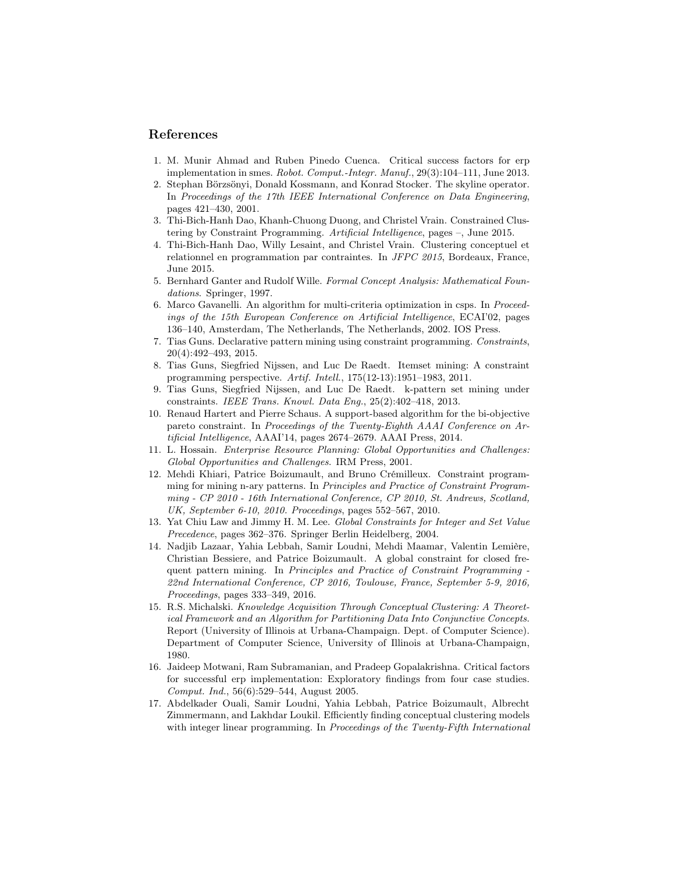#### References

- <span id="page-15-4"></span>1. M. Munir Ahmad and Ruben Pinedo Cuenca. Critical success factors for erp implementation in smes. Robot. Comput.-Integr. Manuf., 29(3):104–111, June 2013.
- <span id="page-15-7"></span>2. Stephan Börzsönyi, Donald Kossmann, and Konrad Stocker. The skyline operator. In Proceedings of the 17th IEEE International Conference on Data Engineering, pages 421–430, 2001.
- <span id="page-15-13"></span>3. Thi-Bich-Hanh Dao, Khanh-Chuong Duong, and Christel Vrain. Constrained Clustering by Constraint Programming. Artificial Intelligence, pages –, June 2015.
- <span id="page-15-5"></span>4. Thi-Bich-Hanh Dao, Willy Lesaint, and Christel Vrain. Clustering conceptuel et relationnel en programmation par contraintes. In JFPC 2015, Bordeaux, France, June 2015.
- <span id="page-15-1"></span>5. Bernhard Ganter and Rudolf Wille. Formal Concept Analysis: Mathematical Foundations. Springer, 1997.
- <span id="page-15-15"></span>6. Marco Gavanelli. An algorithm for multi-criteria optimization in csps. In Proceedings of the 15th European Conference on Artificial Intelligence, ECAI'02, pages 136–140, Amsterdam, The Netherlands, The Netherlands, 2002. IOS Press.
- <span id="page-15-10"></span>7. Tias Guns. Declarative pattern mining using constraint programming. Constraints, 20(4):492–493, 2015.
- <span id="page-15-9"></span>8. Tias Guns, Siegfried Nijssen, and Luc De Raedt. Itemset mining: A constraint programming perspective. Artif. Intell., 175(12-13):1951–1983, 2011.
- <span id="page-15-12"></span>9. Tias Guns, Siegfried Nijssen, and Luc De Raedt. k-pattern set mining under constraints. IEEE Trans. Knowl. Data Eng., 25(2):402–418, 2013.
- <span id="page-15-16"></span>10. Renaud Hartert and Pierre Schaus. A support-based algorithm for the bi-objective pareto constraint. In Proceedings of the Twenty-Eighth AAAI Conference on Artificial Intelligence, AAAI'14, pages 2674–2679. AAAI Press, 2014.
- <span id="page-15-2"></span>11. L. Hossain. Enterprise Resource Planning: Global Opportunities and Challenges: Global Opportunities and Challenges. IRM Press, 2001.
- <span id="page-15-8"></span>12. Mehdi Khiari, Patrice Boizumault, and Bruno Crémilleux. Constraint programming for mining n-ary patterns. In Principles and Practice of Constraint Programming - CP 2010 - 16th International Conference, CP 2010, St. Andrews, Scotland, UK, September 6-10, 2010. Proceedings, pages 552–567, 2010.
- <span id="page-15-14"></span>13. Yat Chiu Law and Jimmy H. M. Lee. Global Constraints for Integer and Set Value Precedence, pages 362–376. Springer Berlin Heidelberg, 2004.
- <span id="page-15-11"></span>14. Nadjib Lazaar, Yahia Lebbah, Samir Loudni, Mehdi Maamar, Valentin Lemière, Christian Bessiere, and Patrice Boizumault. A global constraint for closed frequent pattern mining. In Principles and Practice of Constraint Programming - 22nd International Conference, CP 2016, Toulouse, France, September 5-9, 2016, Proceedings, pages 333–349, 2016.
- <span id="page-15-0"></span>15. R.S. Michalski. Knowledge Acquisition Through Conceptual Clustering: A Theoretical Framework and an Algorithm for Partitioning Data Into Conjunctive Concepts. Report (University of Illinois at Urbana-Champaign. Dept. of Computer Science). Department of Computer Science, University of Illinois at Urbana-Champaign, 1980.
- <span id="page-15-3"></span>16. Jaideep Motwani, Ram Subramanian, and Pradeep Gopalakrishna. Critical factors for successful erp implementation: Exploratory findings from four case studies. Comput. Ind., 56(6):529–544, August 2005.
- <span id="page-15-6"></span>17. Abdelkader Ouali, Samir Loudni, Yahia Lebbah, Patrice Boizumault, Albrecht Zimmermann, and Lakhdar Loukil. Efficiently finding conceptual clustering models with integer linear programming. In Proceedings of the Twenty-Fifth International